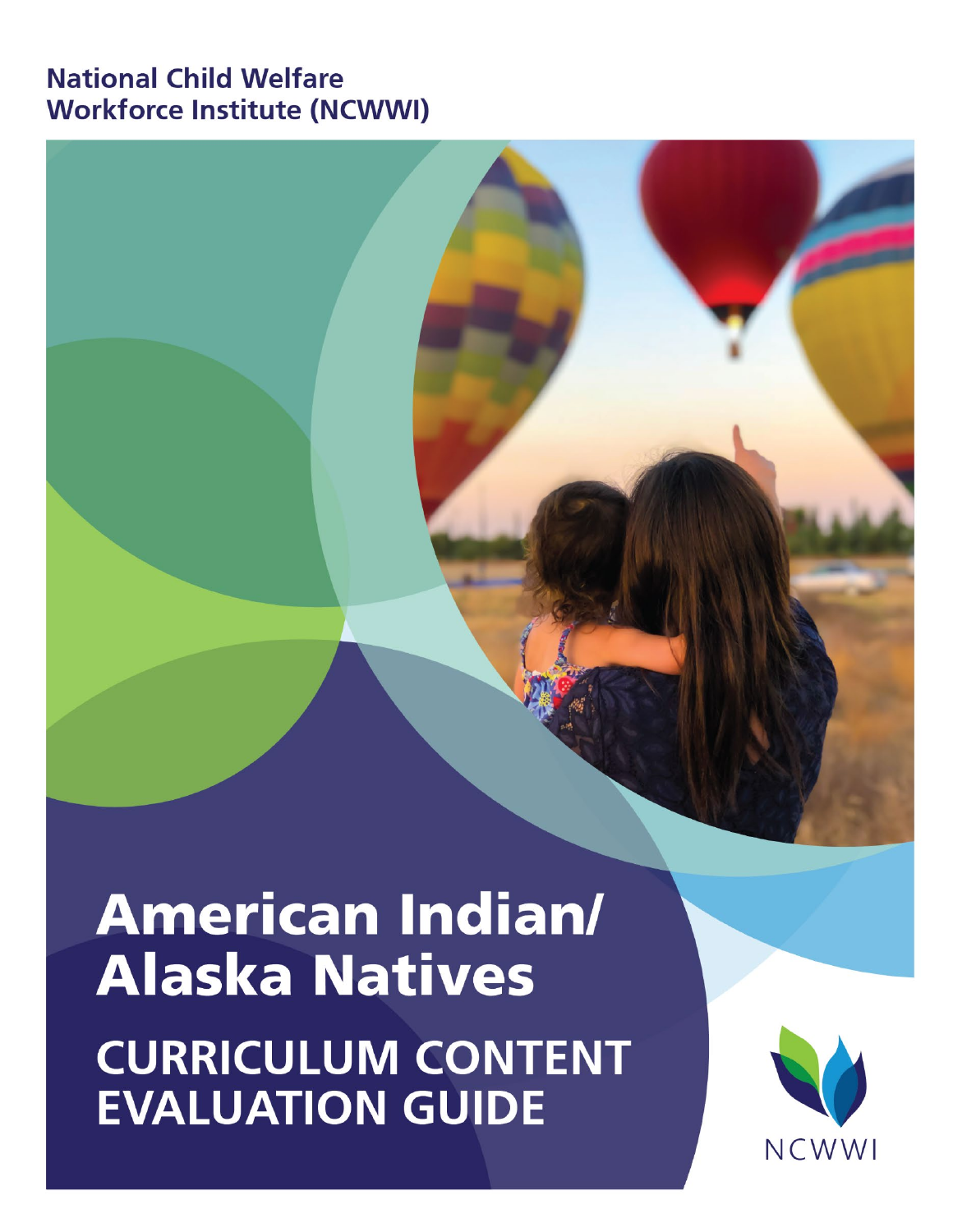# **National Child Welfare Workforce Institute (NCWWI)**

# **American Indian/ Alaska Natives CURRICULUM CONTENT EVALUATION GUIDE**

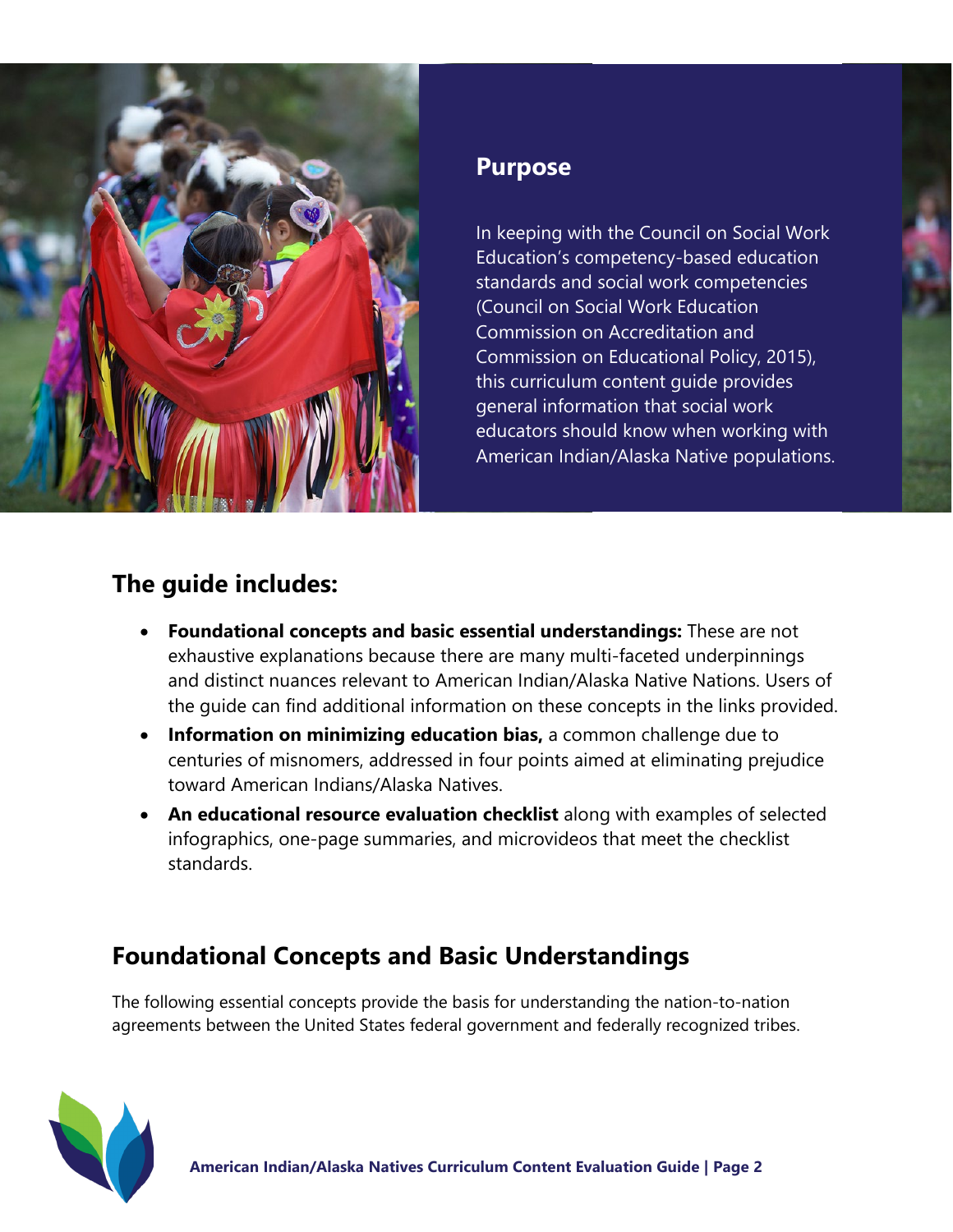

# **Purpose**

In keeping with the Council on Social Work Education's competency-based education standards and social work competencies (Council on Social Work Education Commission on Accreditation and Commission on Educational Policy, 2015), this curriculum content guide provides general information that social work educators should know when working with American Indian/Alaska Native populations.

# **The guide includes:**

- **Foundational concepts and basic essential understandings:** These are not exhaustive explanations because there are many multi-faceted underpinnings and distinct nuances relevant to American Indian/Alaska Native Nations. Users of the guide can find additional information on these concepts in the links provided.
- **Information on minimizing education bias,** a common challenge due to centuries of misnomers, addressed in four points aimed at eliminating prejudice toward American Indians/Alaska Natives.
- **An educational resource evaluation checklist** along with examples of selected infographics, one-page summaries, and microvideos that meet the checklist standards.

# **Foundational Concepts and Basic Understandings**

The following essential concepts provide the basis for understanding the nation-to-nation agreements between the United States federal government and federally recognized tribes.

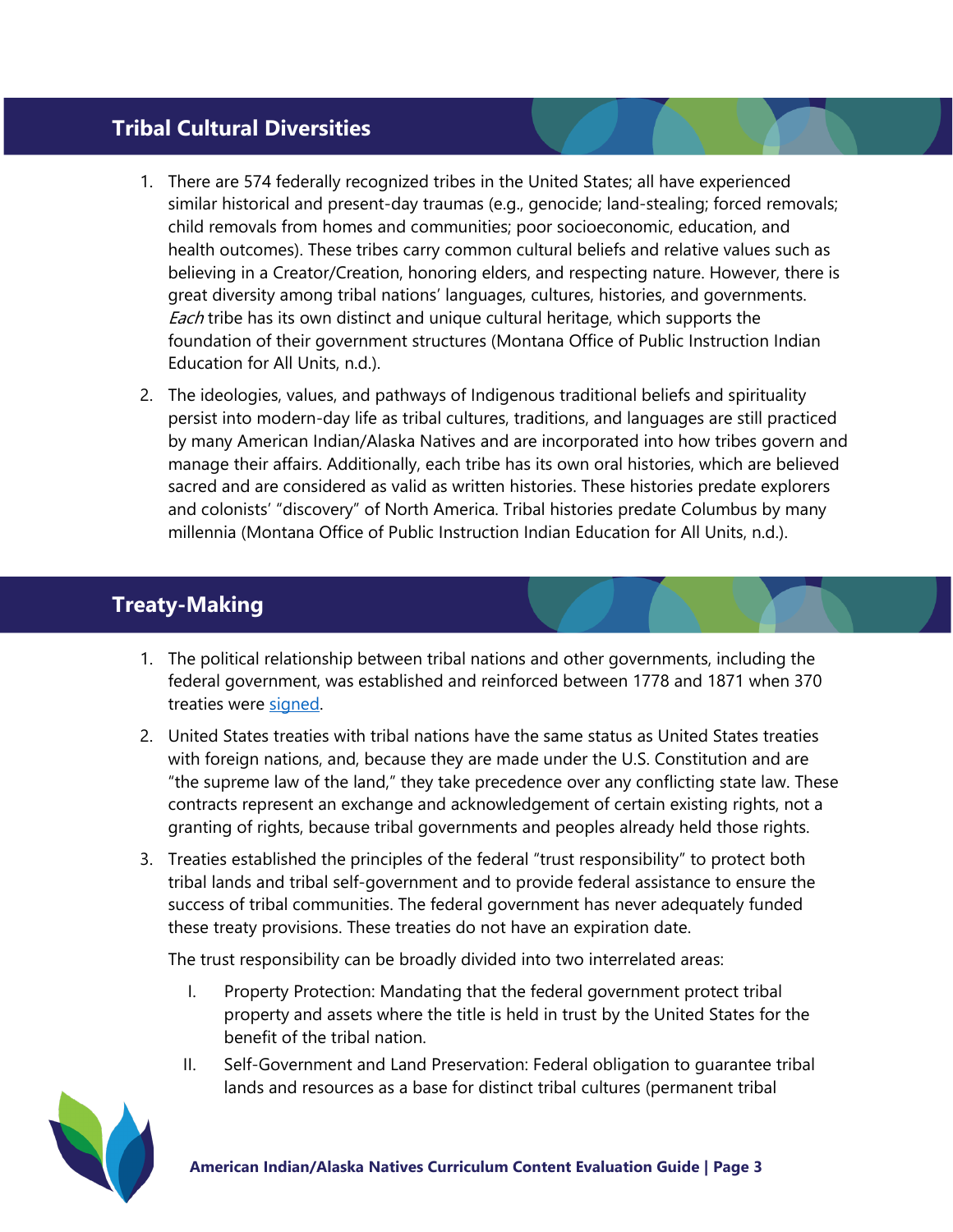#### **Tribal Cultural Diversities**

- 1. There are 574 federally recognized tribes in the United States; all have experienced similar historical and present-day traumas (e.g., genocide; land-stealing; forced removals; child removals from homes and communities; poor socioeconomic, education, and health outcomes). These tribes carry common cultural beliefs and relative values such as believing in a Creator/Creation, honoring elders, and respecting nature. However, there is great diversity among tribal nations' languages, cultures, histories, and governments. Each tribe has its own distinct and unique cultural heritage, which supports the foundation of their government structures (Montana Office of Public Instruction Indian Education for All Units, n.d.).
- 2. The ideologies, values, and pathways of Indigenous traditional beliefs and spirituality persist into modern-day life as tribal cultures, traditions, and languages are still practiced by many American Indian/Alaska Natives and are incorporated into how tribes govern and manage their affairs. Additionally, each tribe has its own oral histories, which are believed sacred and are considered as valid as written histories. These histories predate explorers and colonists' "discovery" of North America. Tribal histories predate Columbus by many millennia (Montana Office of Public Instruction Indian Education for All Units, n.d.).

## **Treaty-Making**

- 1. The political relationship between tribal nations and other governments, including the federal government, was established and reinforced between 1778 and 1871 when 370 treaties were [signed](https://www.youtube.com/watch?v=bexvE4lZRGo).
- 2. United States treaties with tribal nations have the same status as United States treaties with foreign nations, and, because they are made under the U.S. Constitution and are "the supreme law of the land," they take precedence over any conflicting state law. These contracts represent an exchange and acknowledgement of certain existing rights, not a granting of rights, because tribal governments and peoples already held those rights.
- 3. Treaties established the principles of the federal "trust responsibility" to protect both tribal lands and tribal self-government and to provide federal assistance to ensure the success of tribal communities. The federal government has never adequately funded these treaty provisions. These treaties do not have an expiration date.

The trust responsibility can be broadly divided into two interrelated areas:

- I. Property Protection: Mandating that the federal government protect tribal property and assets where the title is held in trust by the United States for the benefit of the tribal nation.
- II. Self-Government and Land Preservation: Federal obligation to guarantee tribal lands and resources as a base for distinct tribal cultures (permanent tribal

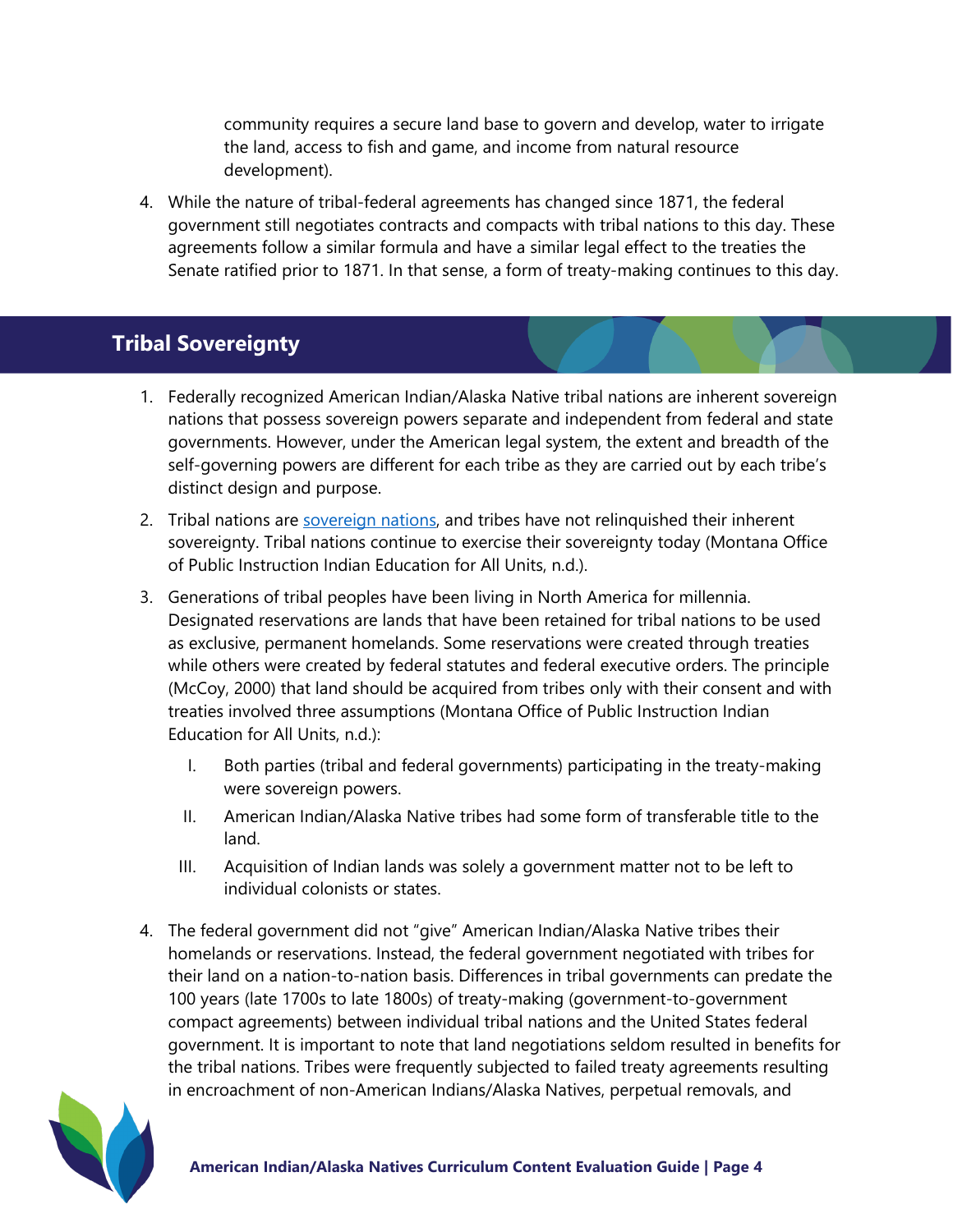community requires a secure land base to govern and develop, water to irrigate the land, access to fish and game, and income from natural resource development).

4. While the nature of tribal-federal agreements has changed since 1871, the federal government still negotiates contracts and compacts with tribal nations to this day. These agreements follow a similar formula and have a similar legal effect to the treaties the Senate ratified prior to 1871. In that sense, a form of treaty-making continues to this day.

## **Tribal Sovereignty**

- 1. Federally recognized American Indian/Alaska Native tribal nations are inherent sovereign nations that possess sovereign powers separate and independent from federal and state governments. However, under the American legal system, the extent and breadth of the self-governing powers are different for each tribe as they are carried out by each tribe's distinct design and purpose.
- 2. Tribal nations are [sovereign nations](https://video.search.yahoo.com/yhs/search?fr=yhs-trp-001&ei=UTF-8&hsimp=yhs-001&hspart=trp&p=why+tribal+sovereignty+matters&type=Y143_F163_201897_102620%23id=1&vid=4be757075b34d14037e43e13b2870dbb&action=click&guccounter=1#id=2&vid=196be549d34fda471295afeca0cbc967&action=view), and tribes have not relinquished their inherent sovereignty. Tribal nations continue to exercise their sovereignty today (Montana Office of Public Instruction Indian Education for All Units, n.d.).
- 3. Generations of tribal peoples have been living in North America for millennia. Designated reservations are lands that have been retained for tribal nations to be used as exclusive, permanent homelands. Some reservations were created through treaties while others were created by federal statutes and federal executive orders. The principle (McCoy, 2000) that land should be acquired from tribes only with their consent and with treaties involved three assumptions (Montana Office of Public Instruction Indian Education for All Units, n.d.):
	- I. Both parties (tribal and federal governments) participating in the treaty-making were sovereign powers.
	- II. American Indian/Alaska Native tribes had some form of transferable title to the land.
	- III. Acquisition of Indian lands was solely a government matter not to be left to individual colonists or states.
- 4. The federal government did not "give" American Indian/Alaska Native tribes their homelands or reservations. Instead, the federal government negotiated with tribes for their land on a nation-to-nation basis. Differences in tribal governments can predate the 100 years (late 1700s to late 1800s) of treaty-making (government-to-government compact agreements) between individual tribal nations and the United States federal government. It is important to note that land negotiations seldom resulted in benefits for the tribal nations. Tribes were frequently subjected to failed treaty agreements resulting in encroachment of non-American Indians/Alaska Natives, perpetual removals, and

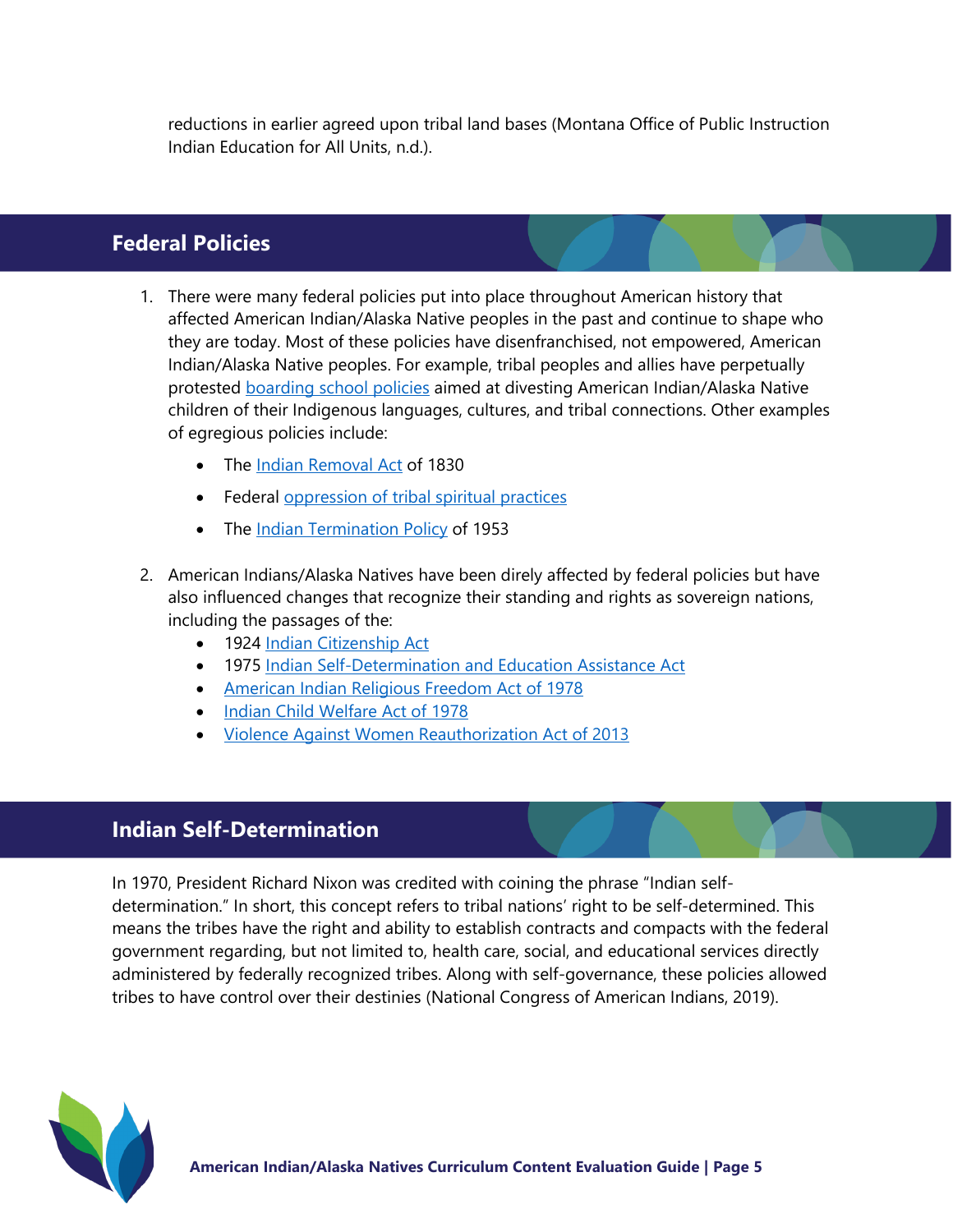reductions in earlier agreed upon tribal land bases (Montana Office of Public Instruction Indian Education for All Units, n.d.).

## **Federal Policies**

- 1. There were many federal policies put into place throughout American history that affected American Indian/Alaska Native peoples in the past and continue to shape who they are today. Most of these policies have disenfranchised, not empowered, American Indian/Alaska Native peoples. For example, tribal peoples and allies have perpetually protested [boarding school policies](https://boardingschoolhealing.org/education/us-indian-boarding-school-history/) aimed at divesting American Indian/Alaska Native children of their Indigenous languages, cultures, and tribal connections. Other examples of egregious policies include:
	- The [Indian Removal Act](https://history.state.gov/milestones/1830-1860/indian-treaties) of 1830
	- Federal [oppression of tribal spiritual practices](https://www.narf.org/nill/documents/nlr/nlr5-1.pdf)
	- The *Indian [Termination Policy](https://www.nlm.nih.gov/nativevoices/timeline/488.html)* of 1953
- 2. American Indians/Alaska Natives have been direly affected by federal policies but have also influenced changes that recognize their standing and rights as sovereign nations, including the passages of the:
	- 1924 [Indian Citizenship Act](https://www.history.com/this-day-in-history/the-indian-citizenship-act)
	- 1975 Indian Self-[Determination](http://www.nativepartnership.org/site/PageServer?pagename=airc_hist_selfdeterminationact) and Education Assistance Act
	- [American Indian Religious Freedom Act of 1978](http://www.nativepartnership.org/site/PageServer?pagename=airc_hist_selfdeterminationact)
	- [Indian Child Welfare Act](https://www.nicwa.org/about-icwa/) of 1978
	- [Violence Against Women Reauthorization Act of](http://www.tribal-institute.org/lists/vawa_2013.htm) 2013

#### **Indian Self-Determination**

In 1970, President Richard Nixon was credited with coining the phrase "Indian selfdetermination." In short, this concept refers to tribal nations' right to be self-determined. This means the tribes have the right and ability to establish contracts and compacts with the federal government regarding, but not limited to, health care, social, and educational services directly administered by federally recognized tribes. Along with self-governance, these policies allowed tribes to have control over their destinies (National Congress of American Indians, 2019).

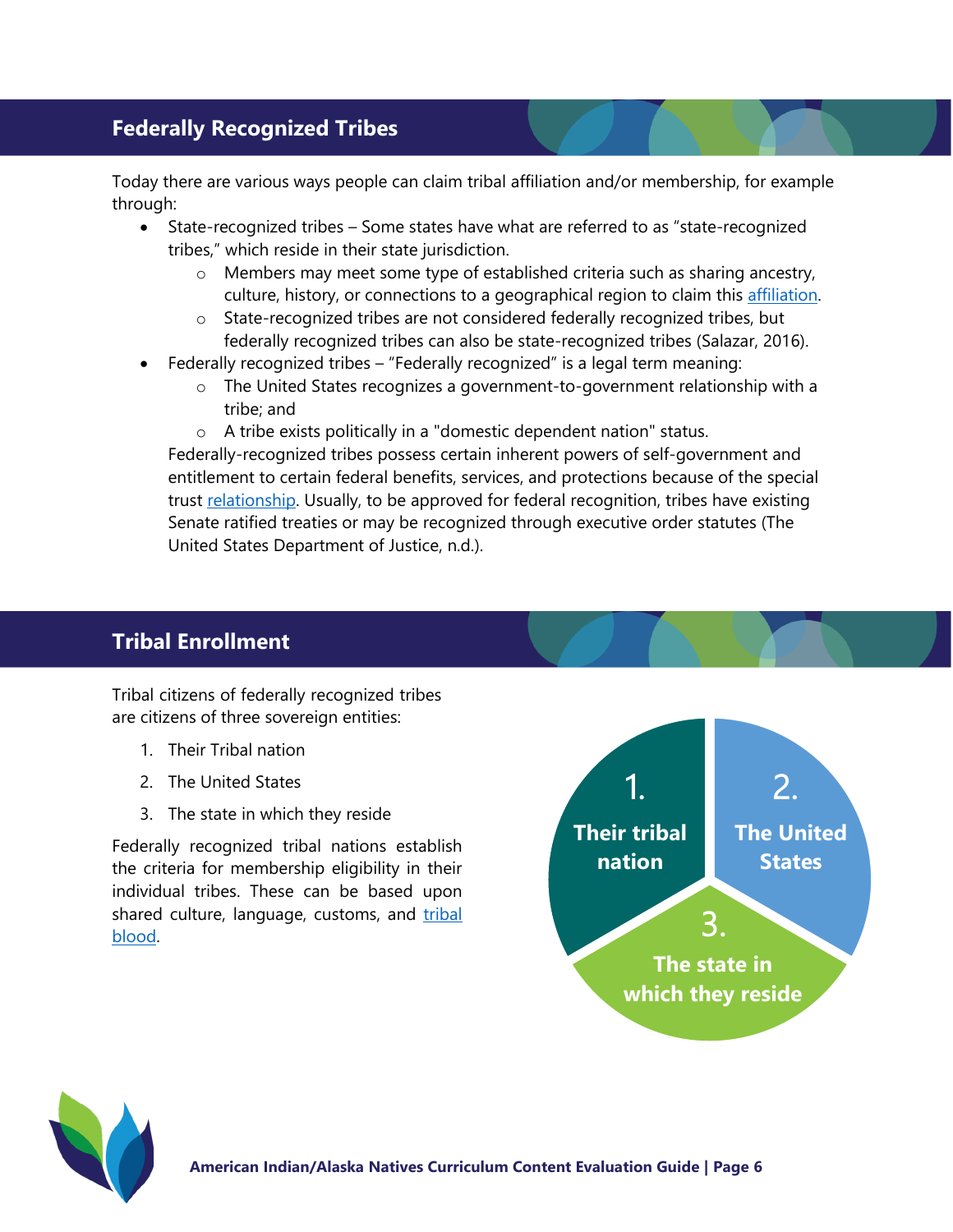## **Federally Recognized Tribes**

Today there are various ways people can claim tribal affiliation and/or membership, for example through:

- State-recognized tribes Some states have what are referred to as "state-recognized tribes," which reside in their state jurisdiction.
	- o Members may meet some type of established criteria such as sharing ancestry, culture, history, or connections to a geographical region to claim this affiliation.
	- o State-recognized tribes are not considered federally recognized tribes, but federally recognized tribes can also be state-recognized tribes (Salazar, 2016).
- Federally recognized tribes "Federally recognized" is a legal term meaning:
	- $\circ$  The United States recognizes a government-to-government relationship with a tribe; and
	- o A tribe exists politically in a "domestic dependent nation" status.

Federally-recognized tribes possess certain inherent powers of self-government and entitlement to certain federal benefits, services, and protections because of the special trust [relationship.](https://www.justice.gov/otj/about-native-americans#:%7E:text=and%20the%20tribes.-,What%20does%20the%20term%20%22Federally%2DRecognized%20Tribe%22%20mean%3F,%22domestic%20dependent%20nation%22%20status) Usually, to be approved for federal recognition, tribes have existing Senate ratified treaties or may be recognized through executive order statutes (The United States Department of Justice, n.d.).

## **Tribal Enrollment**

Tribal citizens of federally recognized tribes are citizens of three sovereign entities:

- 1. Their Tribal nation
- 2. The United States
- 3. The state in which they reside

Federally recognized tribal nations establish the criteria for membership eligibility in their individual tribes. These can be based upon shared culture, language, customs, and tribal [blood.](https://www.doi.gov/tribes/enrollment) 



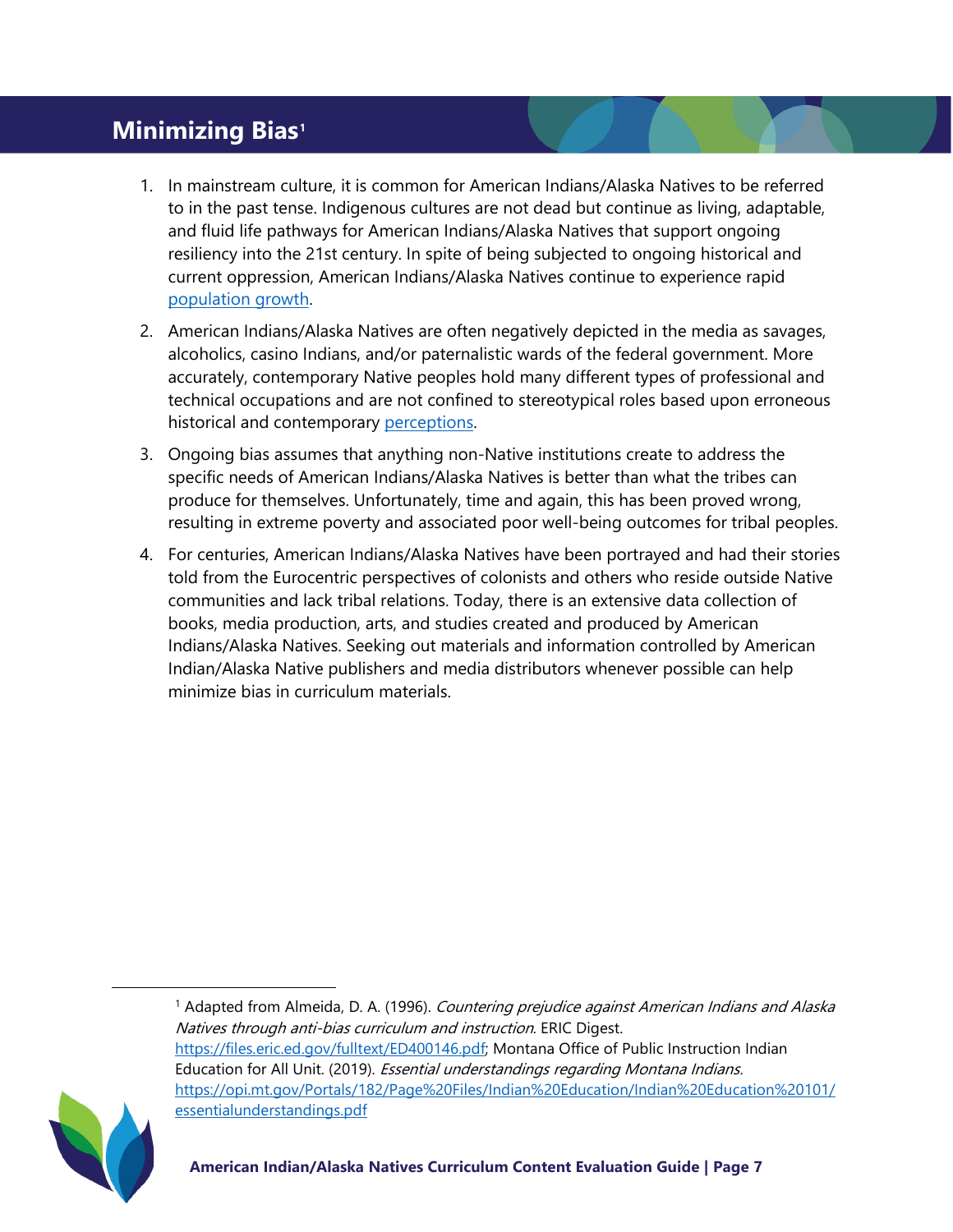# **Minimizing Bias[1](#page-6-0)**

- 1. In mainstream culture, it is common for American Indians/Alaska Natives to be referred to in the past tense. Indigenous cultures are not dead but continue as living, adaptable, and fluid life pathways for American Indians/Alaska Natives that support ongoing resiliency into the 21st century. In spite of being subjected to ongoing historical and current oppression, American Indians/Alaska Natives continue to experience rapid [population growth.](https://www.nicoa.org/census-shows-increase-in-native-population/)
- 2. American Indians/Alaska Natives are often negatively depicted in the media as savages, alcoholics, casino Indians, and/or paternalistic wards of the federal government. More accurately, contemporary Native peoples hold many different types of professional and technical occupations and are not confined to stereotypical roles based upon erroneous historical and contemporary [perceptions](https://www.youtube.com/watch?v=GHdW_LVfn28).
- 3. Ongoing bias assumes that anything non-Native institutions create to address the specific needs of American Indians/Alaska Natives is better than what the tribes can produce for themselves. Unfortunately, time and again, this has been proved wrong, resulting in extreme poverty and associated poor well-being outcomes for tribal peoples.
- 4. For centuries, American Indians/Alaska Natives have been portrayed and had their stories told from the Eurocentric perspectives of colonists and others who reside outside Native communities and lack tribal relations. Today, there is an extensive data collection of books, media production, arts, and studies created and produced by American Indians/Alaska Natives. Seeking out materials and information controlled by American Indian/Alaska Native publishers and media distributors whenever possible can help minimize bias in curriculum materials.

<span id="page-6-0"></span><sup>&</sup>lt;sup>1</sup> Adapted from Almeida, D. A. (1996). Countering prejudice against American Indians and Alaska Natives through anti-bias curriculum and instruction. ERIC Digest. [https://files.eric.ed.gov/fulltext/ED400146.p](https://files.eric.ed.gov/fulltext/ED400146.pdf)df; Montana Office of Public Instruction Indian Education for All Unit. (2019). Essential understandings regarding Montana Indians. [https://opi.mt.gov/Portals/182/Page%20Files/Indian%20Education/Indian%20Education%20101/](https://opi.mt.gov/Portals/182/Page%20Files/Indian%20Education/Indian%20Education%20101/essentialunderstandings.pdf) [essentialunderstandings.pdf](https://opi.mt.gov/Portals/182/Page%20Files/Indian%20Education/Indian%20Education%20101/essentialunderstandings.pdf)

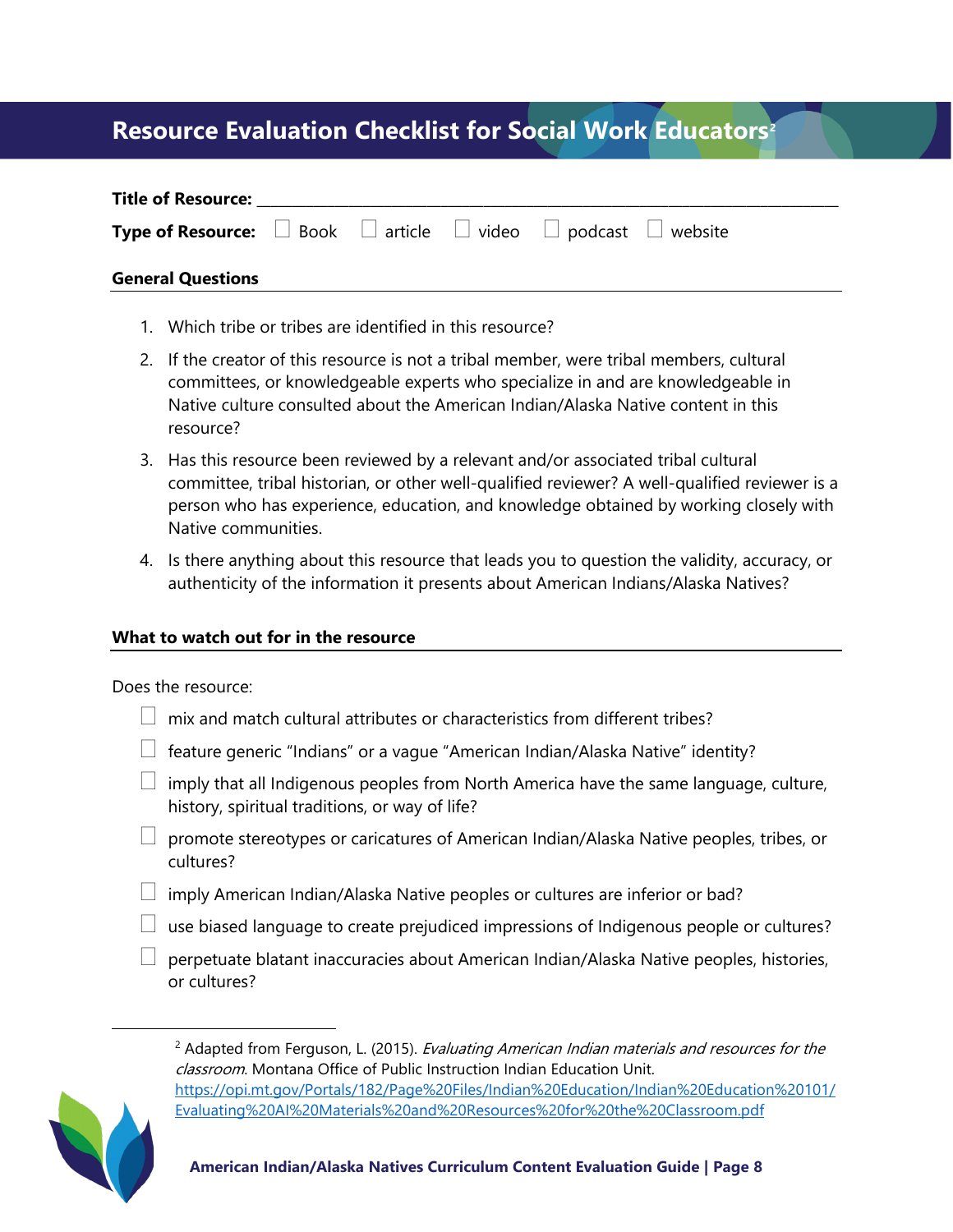# **Resource Evaluation Checklist for Social Work Educators[2](#page-7-0)**

| <b>Title of Resource:</b>                                                                      |  |  |  |
|------------------------------------------------------------------------------------------------|--|--|--|
| <b>Type of Resource:</b> $\Box$ Book $\Box$ article $\Box$ video $\Box$ podcast $\Box$ website |  |  |  |
| <b>General Questions</b>                                                                       |  |  |  |

- 1. Which tribe or tribes are identified in this resource?
- 2. If the creator of this resource is not a tribal member, were tribal members, cultural committees, or knowledgeable experts who specialize in and are knowledgeable in Native culture consulted about the American Indian/Alaska Native content in this resource?
- 3. Has this resource been reviewed by a relevant and/or associated tribal cultural committee, tribal historian, or other well-qualified reviewer? A well-qualified reviewer is a person who has experience, education, and knowledge obtained by working closely with Native communities.
- 4. Is there anything about this resource that leads you to question the validity, accuracy, or authenticity of the information it presents about American Indians/Alaska Natives?

#### **What to watch out for in the resource**

Does the resource:

- $\Box$  mix and match cultural attributes or characteristics from different tribes?
- $\Box$  feature generic "Indians" or a vague "American Indian/Alaska Native" identity?
- $\Box$  imply that all Indigenous peoples from North America have the same language, culture, history, spiritual traditions, or way of life?
- $\Box$  promote stereotypes or caricatures of American Indian/Alaska Native peoples, tribes, or cultures?
- $\Box$  imply American Indian/Alaska Native peoples or cultures are inferior or bad?
- $\Box$  use biased language to create prejudiced impressions of Indigenous people or cultures?
- $\Box$  perpetuate blatant inaccuracies about American Indian/Alaska Native peoples, histories, or cultures?

<span id="page-7-0"></span>

 $<sup>2</sup>$  Adapted from Ferguson, L. (2015). *Evaluating American Indian materials and resources for the*</sup> classroom. Montana Office of Public Instruction Indian Education Unit. [https://opi.mt.gov/Portals/182/Page%20Files/Indian%20Education/Indian%20Education%20101/](https://opi.mt.gov/Portals/182/Page%20Files/Indian%20Education/Indian%20Education%20101/Evaluating%20AI%20Materials%20and%20Resources%20for%20the%20Classroom.pdf) [Evaluating%20AI%20Materials%20and%20Resources%20for%20the%20Classroom.pdf](https://opi.mt.gov/Portals/182/Page%20Files/Indian%20Education/Indian%20Education%20101/Evaluating%20AI%20Materials%20and%20Resources%20for%20the%20Classroom.pdf)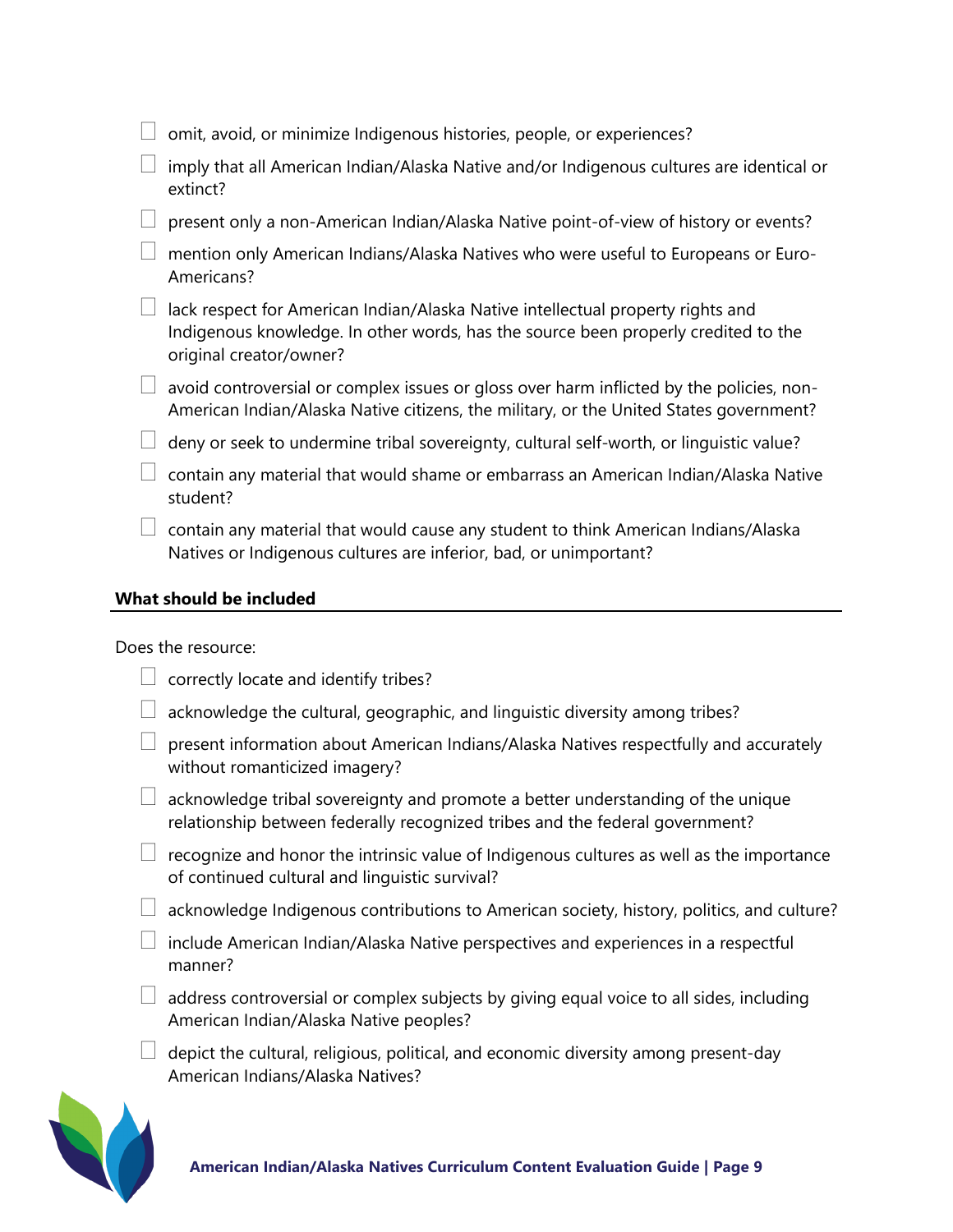| omit, avoid, or minimize Indigenous histories, people, or experiences?                                                                                                                           |
|--------------------------------------------------------------------------------------------------------------------------------------------------------------------------------------------------|
| imply that all American Indian/Alaska Native and/or Indigenous cultures are identical or<br>extinct?                                                                                             |
| present only a non-American Indian/Alaska Native point-of-view of history or events?                                                                                                             |
| mention only American Indians/Alaska Natives who were useful to Europeans or Euro-<br>Americans?                                                                                                 |
| lack respect for American Indian/Alaska Native intellectual property rights and<br>Indigenous knowledge. In other words, has the source been properly credited to the<br>original creator/owner? |
| avoid controversial or complex issues or gloss over harm inflicted by the policies, non-<br>American Indian/Alaska Native citizens, the military, or the United States government?               |
| deny or seek to undermine tribal sovereignty, cultural self-worth, or linguistic value?                                                                                                          |
| contain any material that would shame or embarrass an American Indian/Alaska Native<br>student?                                                                                                  |
| contain any material that would cause any student to think American Indians/Alaska<br>Natives or Indigenous cultures are inferior, bad, or unimportant?                                          |

#### **What should be included**

Does the resource:

- $\Box$  correctly locate and identify tribes?
- $\Box$  acknowledge the cultural, geographic, and linguistic diversity among tribes?
- $\Box$  present information about American Indians/Alaska Natives respectfully and accurately without romanticized imagery?
- $\Box$  acknowledge tribal sovereignty and promote a better understanding of the unique relationship between federally recognized tribes and the federal government?
- $\Box$  recognize and honor the intrinsic value of Indigenous cultures as well as the importance of continued cultural and linguistic survival?
- $\Box$  acknowledge Indigenous contributions to American society, history, politics, and culture?
- $\Box$  include American Indian/Alaska Native perspectives and experiences in a respectful manner?
- $\Box$  address controversial or complex subjects by giving equal voice to all sides, including American Indian/Alaska Native peoples?
- $\Box$  depict the cultural, religious, political, and economic diversity among present-day American Indians/Alaska Natives?

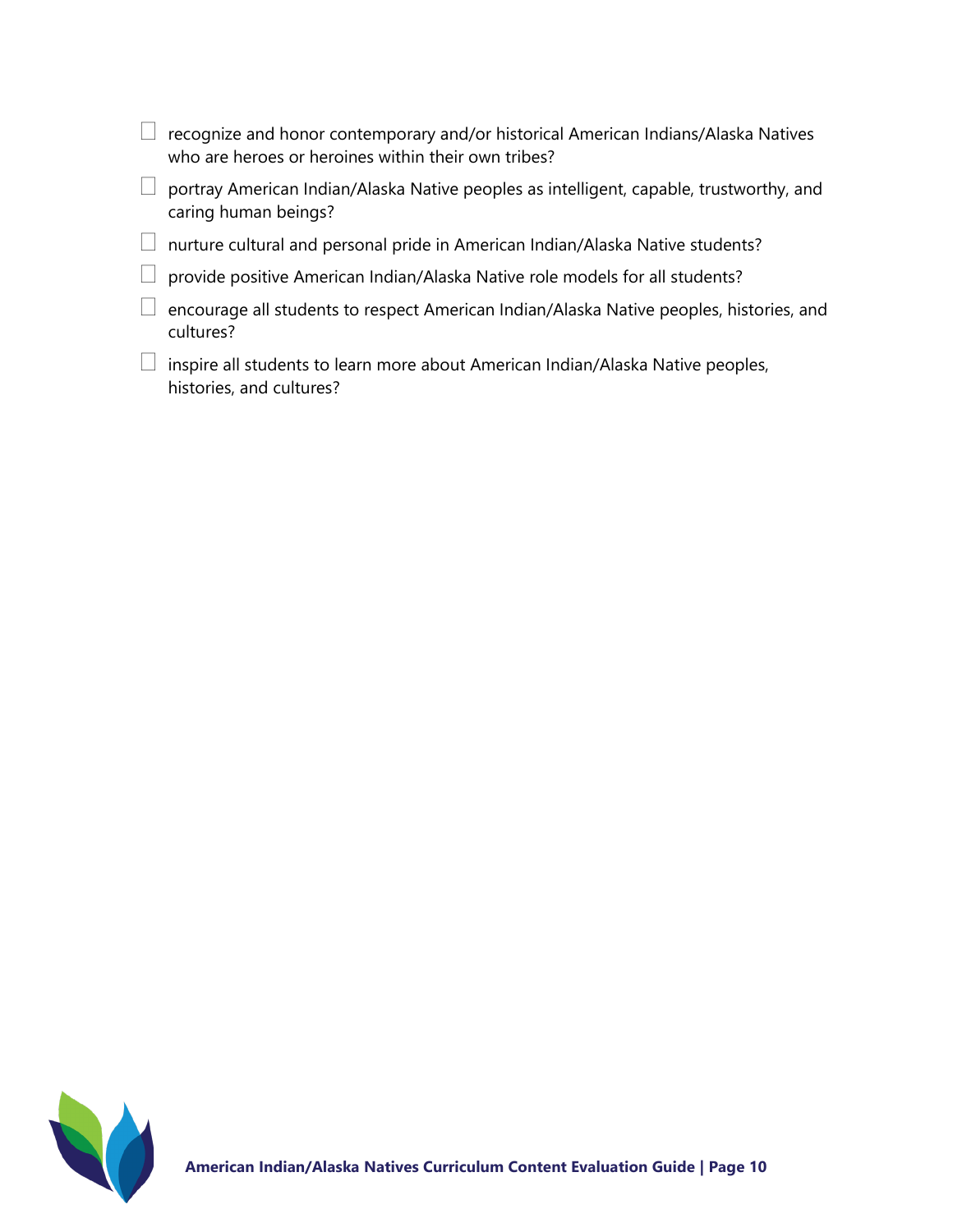| recognize and honor contemporary and/or historical American Indians/Alaska Natives<br>who are heroes or heroines within their own tribes? |
|-------------------------------------------------------------------------------------------------------------------------------------------|
| portray American Indian/Alaska Native peoples as intelligent, capable, trustworthy, and<br>caring human beings?                           |
| nurture cultural and personal pride in American Indian/Alaska Native students?                                                            |
| provide positive American Indian/Alaska Native role models for all students?                                                              |
| encourage all students to respect American Indian/Alaska Native peoples, histories, and<br>cultures?                                      |
| inspire all students to learn more about American Indian/Alaska Native peoples,<br>histories, and cultures?                               |

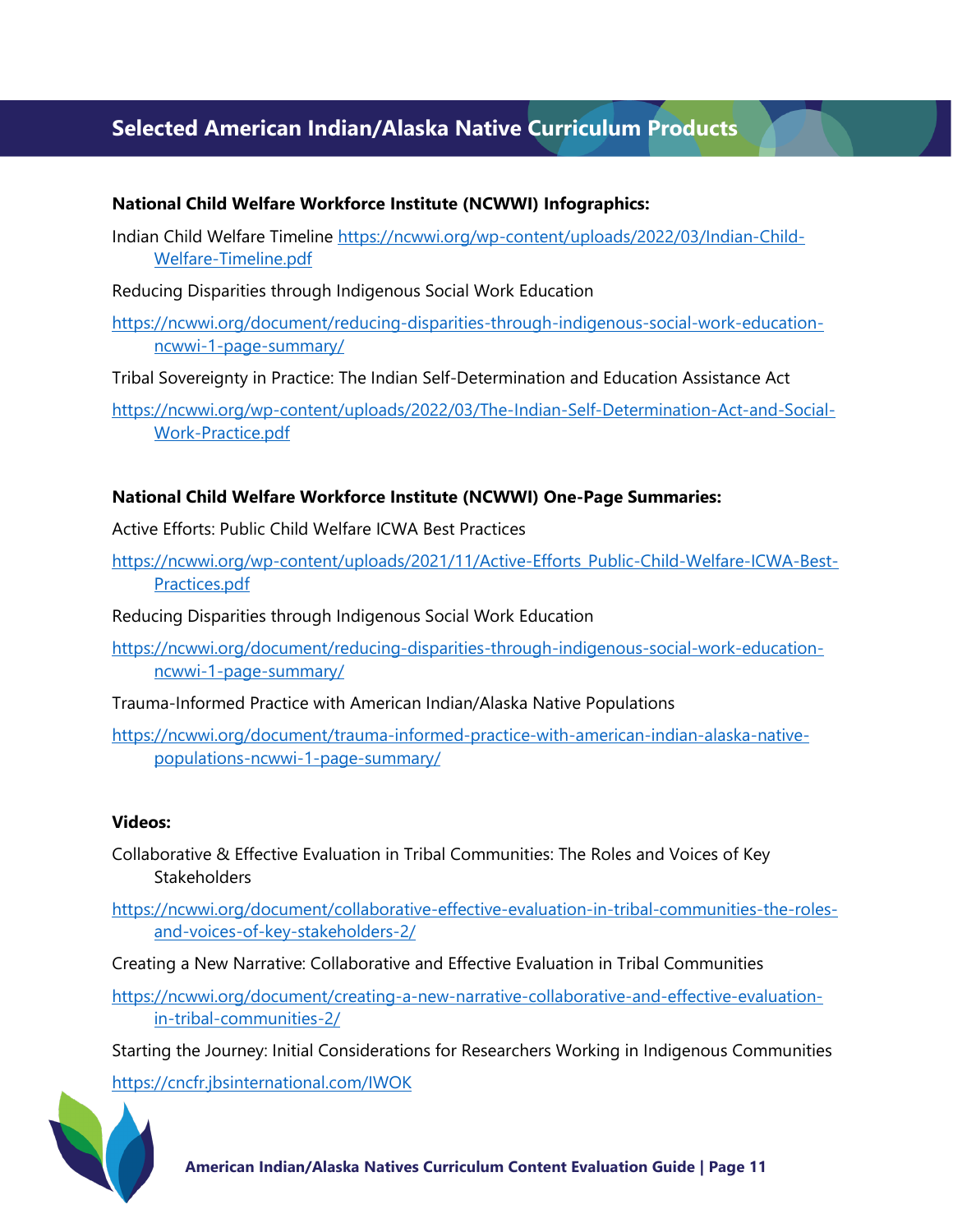# **Selected American Indian/Alaska Native Curriculum Products**

#### **National Child Welfare Workforce Institute (NCWWI) Infographics:**

Indian Child Welfare Timeline https://ncwwi.org/wp-[content/uploads/2022/03/Indian](https://ncwwi.org/wp-content/uploads/2022/03/Indian-Child-Welfare-Timeline.pdf)-Child-Welfare-[Timeline.pdf](https://ncwwi.org/wp-content/uploads/2022/03/Indian-Child-Welfare-Timeline.pdf)

Reducing Disparities through Indigenous Social Work Education

[https://ncwwi.org/document/reducing](https://ncwwi.org/document/reducing-disparities-through-indigenous-social-work-education-ncwwi-1-page-summary/)-disparities-through-indigenous-social-work-education[ncwwi-1-page-](https://ncwwi.org/document/reducing-disparities-through-indigenous-social-work-education-ncwwi-1-page-summary/)summary/

Tribal Sovereignty in Practice: The Indian Self-Determination and Education Assistance Act

https://ncwwi.org/wp-[content/uploads/2022/03/The](https://ncwwi.org/wp-content/uploads/2022/03/The-Indian-Self-Determination-Act-and-Social-Work-Practice.pdf)-Indian-Self-Determination-Act-and-Social-Work-[Practice.pdf](https://ncwwi.org/wp-content/uploads/2022/03/The-Indian-Self-Determination-Act-and-Social-Work-Practice.pdf)

#### **National Child Welfare Workforce Institute (NCWWI) One-Page Summaries:**

Active Efforts: Public Child Welfare ICWA Best Practices

https://ncwwi.org/wp-[content/uploads/2021/11/Active](https://ncwwi.org/wp-content/uploads/2021/11/Active-Efforts_Public-Child-Welfare-ICWA-Best-Practices.pdf)-Efforts\_Public-Child-Welfare-ICWA-Best-[Practices.pdf](https://ncwwi.org/wp-content/uploads/2021/11/Active-Efforts_Public-Child-Welfare-ICWA-Best-Practices.pdf)

Reducing Disparities through Indigenous Social Work Education

[https://ncwwi.org/document/reducing](https://ncwwi.org/document/reducing-disparities-through-indigenous-social-work-education-ncwwi-1-page-summary/)-disparities-through-indigenous-social-work-education[ncwwi-1-page-](https://ncwwi.org/document/reducing-disparities-through-indigenous-social-work-education-ncwwi-1-page-summary/)summary/

Trauma-Informed Practice with American Indian/Alaska Native Populations

[https://ncwwi.org/document/trauma](https://ncwwi.org/document/trauma-informed-practice-with-american-indian-alaska-native-populations-ncwwi-1-page-summary/)-informed-practice-with-american-indian-alaska-nativepopulations[-ncwwi-1-page-](https://ncwwi.org/document/trauma-informed-practice-with-american-indian-alaska-native-populations-ncwwi-1-page-summary/)summary/

#### **Videos:**

Collaborative & Effective Evaluation in Tribal Communities: The Roles and Voices of Key **Stakeholders** 

[https://ncwwi.org/document/collaborative](https://ncwwi.org/document/collaborative-effective-evaluation-in-tribal-communities-the-roles-and-voices-of-key-stakeholders-2/)-effective-evaluation-in-tribal-communities-the-rolesand-voices-of-key-[stakeholders](https://ncwwi.org/document/collaborative-effective-evaluation-in-tribal-communities-the-roles-and-voices-of-key-stakeholders-2/)-2/

Creating a New Narrative: Collaborative and Effective Evaluation in Tribal Communities

https://ncwwi.org/document/creating[-a-new-narrative-collaborative-and-effective-evaluation](https://ncwwi.org/document/creating-a-new-narrative-collaborative-and-effective-evaluation-in-tribal-communities-2/)in-tribal-[communities](https://ncwwi.org/document/creating-a-new-narrative-collaborative-and-effective-evaluation-in-tribal-communities-2/)-2/

Starting the Journey: Initial Considerations for Researchers Working in Indigenous Communities

<https://cncfr.jbsinternational.com/IWOK>